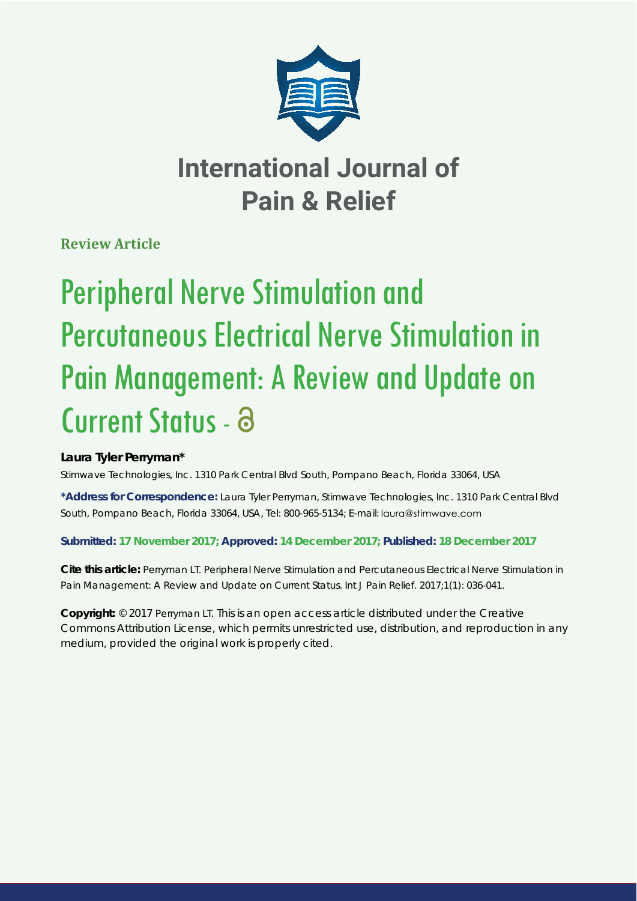

## **International Journal of Pain & Relief**

**Review Article**

# Peripheral Nerve Stimulation and Percutaneous Electrical Nerve Stimulation in Pain Management: A Review and Update on Current Status - a

## **Laura Tyler Perryman\***

*Stimwave Technologies, Inc. 1310 Park Central Blvd South, Pompano Beach, Florida 33064, USA*

**\*Address for Correspondence:** Laura Tyler Perryman, Stimwave Technologies, Inc. 1310 Park Central Blvd South, Pompano Beach, Florida 33064, USA, Tel: 800-965-5134; E-mail:

## **Submitted: 17 November 2017; Approved: 14 December 2017; Published: 18 December 2017**

**Cite this article:** Perryman LT. Peripheral Nerve Stimulation and Percutaneous Electrical Nerve Stimulation in Pain Management: A Review and Update on Current Status. Int J Pain Relief. 2017;1(1): 036-041.

**Copyright:** © 2017 Perryman LT. This is an open access article distributed under the Creative Commons Attribution License, which permits unrestricted use, distribution, and reproduction in any medium, provided the original work is properly cited.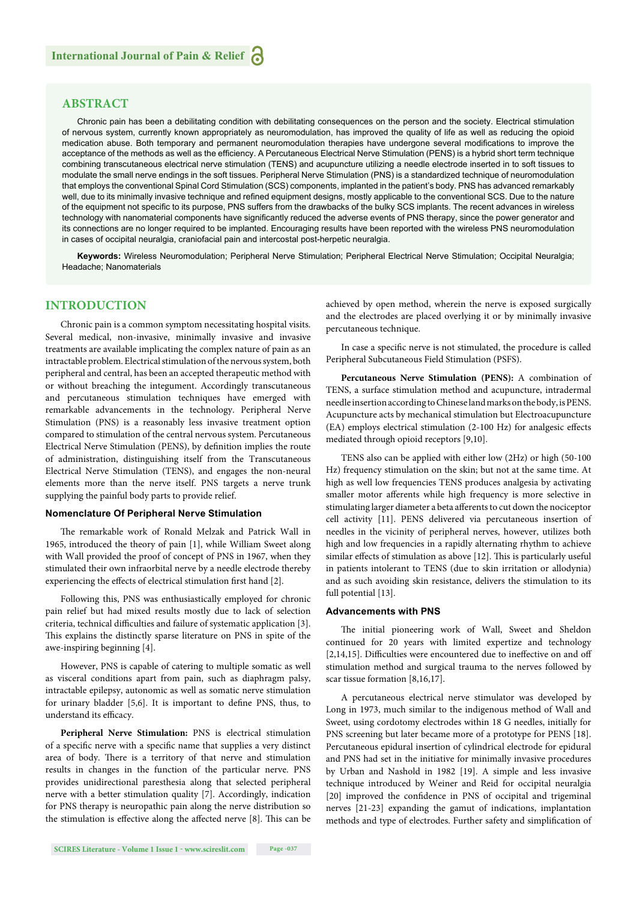#### **ABSTRACT**

Chronic pain has been a debilitating condition with debilitating consequences on the person and the society. Electrical stimulation of nervous system, currently known appropriately as neuromodulation, has improved the quality of life as well as reducing the opioid medication abuse. Both temporary and permanent neuromodulation therapies have undergone several modifications to improve the acceptance of the methods as well as the efficiency. A Percutaneous Electrical Nerve Stimulation (PENS) is a hybrid short term technique combining transcutaneous electrical nerve stimulation (TENS) and acupuncture utilizing a needle electrode inserted in to soft tissues to modulate the small nerve endings in the soft tissues. Peripheral Nerve Stimulation (PNS) is a standardized technique of neuromodulation that employs the conventional Spinal Cord Stimulation (SCS) components, implanted in the patient's body. PNS has advanced remarkably well, due to its minimally invasive technique and refined equipment designs, mostly applicable to the conventional SCS. Due to the nature of the equipment not specific to its purpose, PNS suffers from the drawbacks of the bulky SCS implants. The recent advances in wireless technology with nanomaterial components have significantly reduced the adverse events of PNS therapy, since the power generator and its connections are no longer required to be implanted. Encouraging results have been reported with the wireless PNS neuromodulation in cases of occipital neuralgia, craniofacial pain and intercostal post-herpetic neuralgia.

**Keywords:** Wireless Neuromodulation; Peripheral Nerve Stimulation; Peripheral Electrical Nerve Stimulation; Occipital Neuralgia; Headache; Nanomaterials

#### **INTRODUCTION**

Chronic pain is a common symptom necessitating hospital visits. Several medical, non-invasive, minimally invasive and invasive treatments are available implicating the complex nature of pain as an intractable problem. Electrical stimulation of the nervous system, both peripheral and central, has been an accepted therapeutic method with or without breaching the integument. Accordingly transcutaneous and percutaneous stimulation techniques have emerged with remarkable advancements in the technology. Peripheral Nerve Stimulation (PNS) is a reasonably less invasive treatment option compared to stimulation of the central nervous system. Percutaneous Electrical Nerve Stimulation (PENS), by definition implies the route of administration, distinguishing itself from the Transcutaneous Electrical Nerve Stimulation (TENS), and engages the non-neural elements more than the nerve itself. PNS targets a nerve trunk supplying the painful body parts to provide relief.

#### **Nomenclature Of Peripheral Nerve Stimulation**

The remarkable work of Ronald Melzak and Patrick Wall in 1965, introduced the theory of pain [1], while William Sweet along with Wall provided the proof of concept of PNS in 1967, when they stimulated their own infraorbital nerve by a needle electrode thereby experiencing the effects of electrical stimulation first hand [2].

Following this, PNS was enthusiastically employed for chronic pain relief but had mixed results mostly due to lack of selection criteria, technical difficulties and failure of systematic application [3]. This explains the distinctly sparse literature on PNS in spite of the awe-inspiring beginning [4].

However, PNS is capable of catering to multiple somatic as well as visceral conditions apart from pain, such as diaphragm palsy, intractable epilepsy, autonomic as well as somatic nerve stimulation for urinary bladder  $[5,6]$ . It is important to define PNS, thus, to understand its efficacy.

**Peripheral Nerve Stimulation:** PNS is electrical stimulation of a specific nerve with a specific name that supplies a very distinct area of body. There is a territory of that nerve and stimulation results in changes in the function of the particular nerve. PNS provides unidirectional paresthesia along that selected peripheral nerve with a better stimulation quality [7]. Accordingly, indication for PNS therapy is neuropathic pain along the nerve distribution so the stimulation is effective along the affected nerve  $[8]$ . This can be achieved by open method, wherein the nerve is exposed surgically and the electrodes are placed overlying it or by minimally invasive percutaneous technique.

In case a specific nerve is not stimulated, the procedure is called Peripheral Subcutaneous Field Stimulation (PSFS).

**Percutaneous Nerve Stimulation (PENS):** A combination of TENS, a surface stimulation method and acupuncture, intradermal needle insertion according to Chinese land marks on the body, is PENS. Acupuncture acts by mechanical stimulation but Electroacupuncture  $(EA)$  employs electrical stimulation  $(2-100 Hz)$  for analgesic effects mediated through opioid receptors [9,10].

TENS also can be applied with either low (2Hz) or high (50-100 Hz) frequency stimulation on the skin; but not at the same time. At high as well low frequencies TENS produces analgesia by activating smaller motor afferents while high frequency is more selective in stimulating larger diameter a beta afferents to cut down the nociceptor cell activity [11]. PENS delivered via percutaneous insertion of needles in the vicinity of peripheral nerves, however, utilizes both high and low frequencies in a rapidly alternating rhythm to achieve similar effects of stimulation as above [12]. This is particularly useful in patients intolerant to TENS (due to skin irritation or allodynia) and as such avoiding skin resistance, delivers the stimulation to its full potential [13].

#### **Advancements with PNS**

The initial pioneering work of Wall, Sweet and Sheldon continued for 20 years with limited expertize and technology  $[2,14,15]$ . Difficulties were encountered due to ineffective on and off stimulation method and surgical trauma to the nerves followed by scar tissue formation [8,16,17].

A percutaneous electrical nerve stimulator was developed by Long in 1973, much similar to the indigenous method of Wall and Sweet, using cordotomy electrodes within 18 G needles, initially for PNS screening but later became more of a prototype for PENS [18]. Percutaneous epidural insertion of cylindrical electrode for epidural and PNS had set in the initiative for minimally invasive procedures by Urban and Nashold in 1982 [19]. A simple and less invasive technique introduced by Weiner and Reid for occipital neuralgia [20] improved the confidence in PNS of occipital and trigeminal nerves [21-23] expanding the gamut of indications, implantation methods and type of electrodes. Further safety and simplification of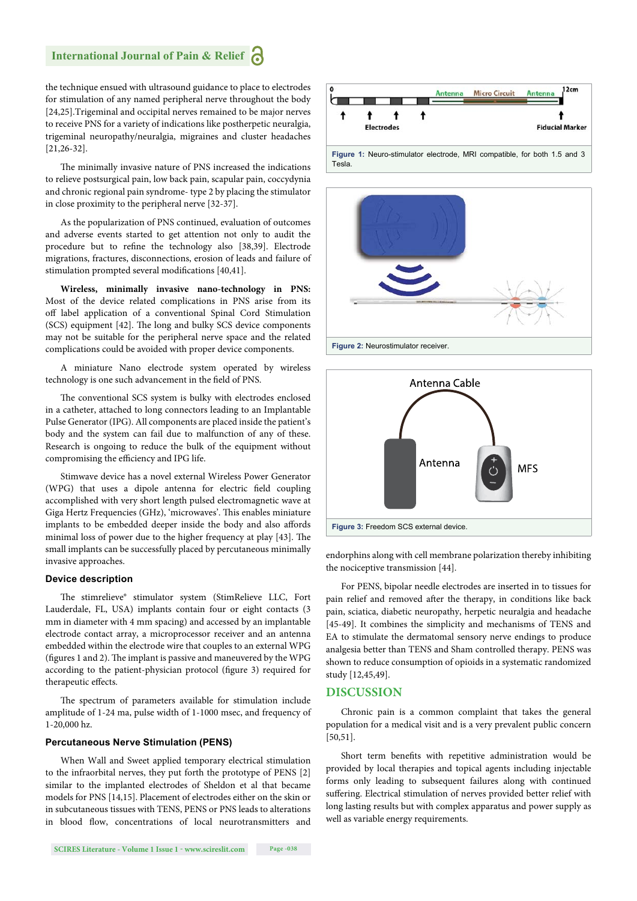the technique ensued with ultrasound guidance to place to electrodes for stimulation of any named peripheral nerve throughout the body [24,25].Trigeminal and occipital nerves remained to be major nerves to receive PNS for a variety of indications like postherpetic neuralgia, trigeminal neuropathy/neuralgia, migraines and cluster headaches [21,26-32].

The minimally invasive nature of PNS increased the indications to relieve postsurgical pain, low back pain, scapular pain, coccydynia and chronic regional pain syndrome- type 2 by placing the stimulator in close proximity to the peripheral nerve [32-37].

As the popularization of PNS continued, evaluation of outcomes and adverse events started to get attention not only to audit the procedure but to refine the technology also [38,39]. Electrode migrations, fractures, disconnections, erosion of leads and failure of stimulation prompted several modifications [40,41].

**Wireless, minimally invasive nano-technology in PNS:** Most of the device related complications in PNS arise from its off label application of a conventional Spinal Cord Stimulation (SCS) equipment [42]. The long and bulky SCS device components may not be suitable for the peripheral nerve space and the related complications could be avoided with proper device components.

A miniature Nano electrode system operated by wireless technology is one such advancement in the field of PNS.

The conventional SCS system is bulky with electrodes enclosed in a catheter, attached to long connectors leading to an Implantable Pulse Generator (IPG). All components are placed inside the patient's body and the system can fail due to malfunction of any of these. Research is ongoing to reduce the bulk of the equipment without compromising the efficiency and IPG life.

Stimwave device has a novel external Wireless Power Generator (WPG) that uses a dipole antenna for electric field coupling accomplished with very short length pulsed electromagnetic wave at Giga Hertz Frequencies (GHz), 'microwaves'. This enables miniature implants to be embedded deeper inside the body and also affords minimal loss of power due to the higher frequency at play [43]. The small implants can be successfully placed by percutaneous minimally invasive approaches.

#### **Device description**

The stimrelieve® stimulator system (StimRelieve LLC, Fort Lauderdale, FL, USA) implants contain four or eight contacts (3 mm in diameter with 4 mm spacing) and accessed by an implantable electrode contact array, a microprocessor receiver and an antenna embedded within the electrode wire that couples to an external WPG (figures 1 and 2). The implant is passive and maneuvered by the WPG according to the patient-physician protocol (figure 3) required for therapeutic effects.

The spectrum of parameters available for stimulation include amplitude of 1-24 ma, pulse width of 1-1000 msec, and frequency of 1-20,000 hz.

#### **Percutaneous Nerve Stimulation (PENS)**

When Wall and Sweet applied temporary electrical stimulation to the infraorbital nerves, they put forth the prototype of PENS [2] similar to the implanted electrodes of Sheldon et al that became models for PNS [14,15]. Placement of electrodes either on the skin or in subcutaneous tissues with TENS, PENS or PNS leads to alterations in blood flow, concentrations of local neurotransmitters and







endorphins along with cell membrane polarization thereby inhibiting the nociceptive transmission [44].

For PENS, bipolar needle electrodes are inserted in to tissues for pain relief and removed after the therapy, in conditions like back pain, sciatica, diabetic neuropathy, herpetic neuralgia and headache [45-49]. It combines the simplicity and mechanisms of TENS and EA to stimulate the dermatomal sensory nerve endings to produce analgesia better than TENS and Sham controlled therapy. PENS was shown to reduce consumption of opioids in a systematic randomized study [12,45,49].

#### **DISCUSSION**

Chronic pain is a common complaint that takes the general population for a medical visit and is a very prevalent public concern [50,51].

Short term benefits with repetitive administration would be provided by local therapies and topical agents including injectable forms only leading to subsequent failures along with continued suffering. Electrical stimulation of nerves provided better relief with long lasting results but with complex apparatus and power supply as well as variable energy requirements.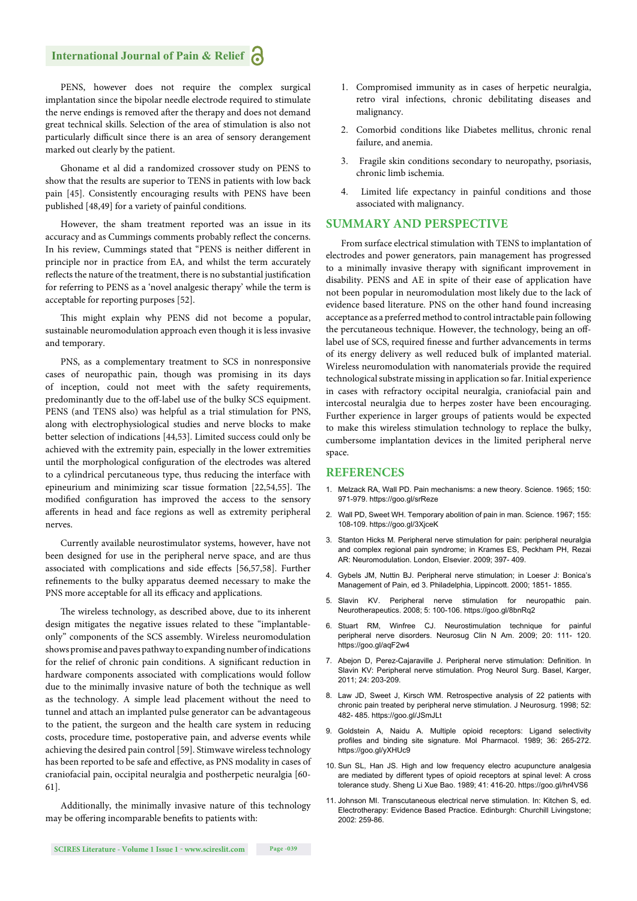## **International Journal of Pain & Relief**

PENS, however does not require the complex surgical implantation since the bipolar needle electrode required to stimulate the nerve endings is removed after the therapy and does not demand great technical skills. Selection of the area of stimulation is also not particularly difficult since there is an area of sensory derangement marked out clearly by the patient.

Ghoname et al did a randomized crossover study on PENS to show that the results are superior to TENS in patients with low back pain [45]. Consistently encouraging results with PENS have been published [48,49] for a variety of painful conditions.

However, the sham treatment reported was an issue in its accuracy and as Cummings comments probably reflect the concerns. In his review, Cummings stated that "PENS is neither different in principle nor in practice from EA, and whilst the term accurately reflects the nature of the treatment, there is no substantial justification for referring to PENS as a 'novel analgesic therapy' while the term is acceptable for reporting purposes [52].

This might explain why PENS did not become a popular, sustainable neuromodulation approach even though it is less invasive and temporary.

PNS, as a complementary treatment to SCS in nonresponsive cases of neuropathic pain, though was promising in its days of inception, could not meet with the safety requirements, predominantly due to the off -label use of the bulky SCS equipment. PENS (and TENS also) was helpful as a trial stimulation for PNS, along with electrophysiological studies and nerve blocks to make better selection of indications [44,53]. Limited success could only be achieved with the extremity pain, especially in the lower extremities until the morphological configuration of the electrodes was altered to a cylindrical percutaneous type, thus reducing the interface with epineurium and minimizing scar tissue formation  $[22,54,55]$ . The modified configuration has improved the access to the sensory afferents in head and face regions as well as extremity peripheral nerves.

Currently available neurostimulator systems, however, have not been designed for use in the peripheral nerve space, and are thus associated with complications and side effects [56,57,58]. Further refinements to the bulky apparatus deemed necessary to make the PNS more acceptable for all its efficacy and applications.

The wireless technology, as described above, due to its inherent design mitigates the negative issues related to these "implantableonly" components of the SCS assembly. Wireless neuromodulation shows promise and paves pathway to expanding number of indications for the relief of chronic pain conditions. A significant reduction in hardware components associated with complications would follow due to the minimally invasive nature of both the technique as well as the technology. A simple lead placement without the need to tunnel and attach an implanted pulse generator can be advantageous to the patient, the surgeon and the health care system in reducing costs, procedure time, postoperative pain, and adverse events while achieving the desired pain control [59]. Stimwave wireless technology has been reported to be safe and effective, as PNS modality in cases of craniofacial pain, occipital neuralgia and postherpetic neuralgia [60- 61].

Additionally, the minimally invasive nature of this technology may be offering incomparable benefits to patients with:

- 1. Compromised immunity as in cases of herpetic neuralgia, retro viral infections, chronic debilitating diseases and malignancy.
- 2. Comorbid conditions like Diabetes mellitus, chronic renal failure, and anemia.
- 3. Fragile skin conditions secondary to neuropathy, psoriasis, chronic limb ischemia.
- Limited life expectancy in painful conditions and those associated with malignancy.

#### **SUMMARY AND PERSPECTIVE**

From surface electrical stimulation with TENS to implantation of electrodes and power generators, pain management has progressed to a minimally invasive therapy with significant improvement in disability. PENS and AE in spite of their ease of application have not been popular in neuromodulation most likely due to the lack of evidence based literature. PNS on the other hand found increasing acceptance as a preferred method to control intractable pain following the percutaneous technique. However, the technology, being an offlabel use of SCS, required finesse and further advancements in terms of its energy delivery as well reduced bulk of implanted material. Wireless neuromodulation with nanomaterials provide the required technological substrate missing in application so far. Initial experience in cases with refractory occipital neuralgia, craniofacial pain and intercostal neuralgia due to herpes zoster have been encouraging. Further experience in larger groups of patients would be expected to make this wireless stimulation technology to replace the bulky, cumbersome implantation devices in the limited peripheral nerve space.

#### **REFERENCES**

- 1. Melzack RA, Wall PD. Pain mechanisms: a new theory. Science. 1965; 150: 971-979. https://goo.gl/srReze
- 2. Wall PD, Sweet WH. Temporary abolition of pain in man. Science. 1967; 155: 108-109. https://goo.gl/3XjceK
- 3. Stanton Hicks M. Peripheral nerve stimulation for pain: peripheral neuralgia and complex regional pain syndrome; in Krames ES, Peckham PH, Rezai AR: Neuromodulation. London, Elsevier. 2009; 397- 409.
- 4. Gybels JM, Nuttin BJ. Peripheral nerve stimulation; in Loeser J: Bonica's Management of Pain, ed 3. Philadelphia, Lippincott. 2000; 1851- 1855.
- 5. Slavin KV. Peripheral nerve stimulation for neuropathic pain. Neurotherapeutics. 2008; 5: 100-106. https://goo.gl/8bnRq2
- 6. Stuart RM, Winfree CJ. Neurostimulation technique for painful peripheral nerve disorders. Neurosug Clin N Am. 2009; 20: 111- 120. https://goo.gl/aqF2w4
- 7. Abejon D, Perez-Cajaraville J. Peripheral nerve stimulation: Definition. In Slavin KV: Peripheral nerve stimulation. Prog Neurol Surg. Basel, Karger, 2011; 24: 203-209.
- 8. Law JD, Sweet J, Kirsch WM. Retrospective analysis of 22 patients with chronic pain treated by peripheral nerve stimulation. J Neurosurg. 1998; 52: 482- 485. https://goo.gl/JSmJLt
- 9. Goldstein A, Naidu A. Multiple opioid receptors: Ligand selectivity profiles and binding site signature. Mol Pharmacol. 1989; 36: 265-272. https://goo.gl/yXHUc9
- 10. Sun SL, Han JS. High and low frequency electro acupuncture analgesia are mediated by different types of opioid receptors at spinal level: A cross tolerance study. Sheng Li Xue Bao. 1989; 41: 416-20. https://goo.gl/hr4VS6
- 11. Johnson MI. Transcutaneous electrical nerve stimulation. In: Kitchen S, ed. Electrotherapy: Evidence Based Practice. Edinburgh: Churchill Livingstone; 2002: 259-86.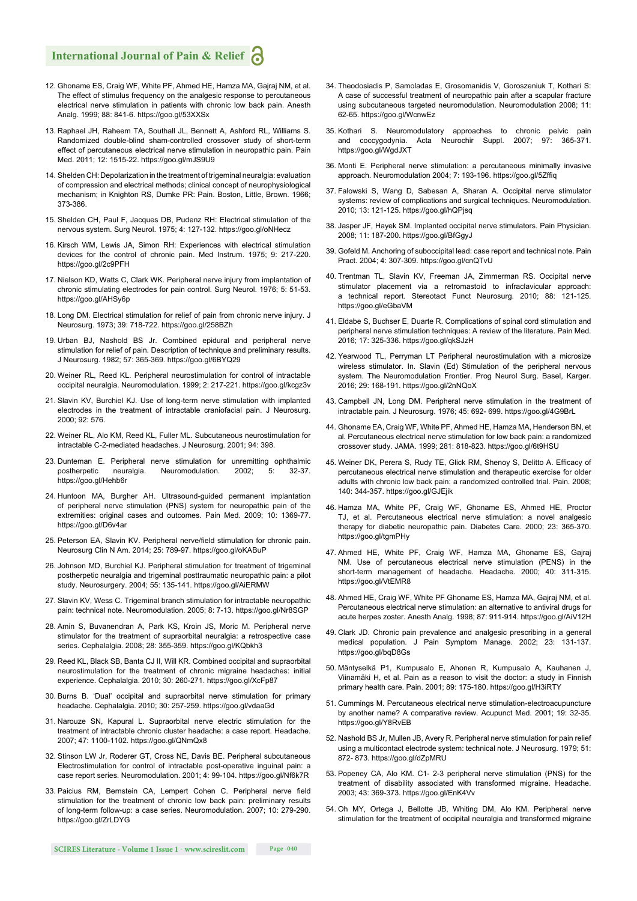### **International Journal of Pain & Relief**

- 12. Ghoname ES, Craig WF, White PF, Ahmed HE, Hamza MA, Gajraj NM, et al. The effect of stimulus frequency on the analgesic response to percutaneous electrical nerve stimulation in patients with chronic low back pain. Anesth Analg. 1999; 88: 841-6. https://goo.gl/53XXSx
- 13. Raphael JH, Raheem TA, Southall JL, Bennett A, Ashford RL, Williams S. Randomized double-blind sham-controlled crossover study of short-term effect of percutaneous electrical nerve stimulation in neuropathic pain. Pain Med. 2011; 12: 1515-22. https://goo.gl/mJS9U9
- 14. Shelden CH: Depolarization in the treatment of trigeminal neuralgia: evaluation of compression and electrical methods; clinical concept of neurophysiological mechanism; in Knighton RS, Dumke PR: Pain. Boston, Little, Brown. 1966; 373-386.
- 15. Shelden CH, Paul F, Jacques DB, Pudenz RH: Electrical stimulation of the nervous system. Surg Neurol. 1975; 4: 127-132. https://goo.gl/oNHecz
- 16. Kirsch WM, Lewis JA, Simon RH: Experiences with electrical stimulation devices for the control of chronic pain. Med Instrum. 1975; 9: 217-220. https://goo.gl/2c9PFH
- 17. Nielson KD, Watts C, Clark WK. Peripheral nerve injury from implantation of chronic stimulating electrodes for pain control. Surg Neurol. 1976; 5: 51-53. https://goo.gl/AHSy6p
- 18. Long DM. Electrical stimulation for relief of pain from chronic nerve injury. J Neurosurg. 1973; 39: 718-722. https://goo.gl/258BZh
- 19. Urban BJ, Nashold BS Jr. Combined epidural and peripheral nerve stimulation for relief of pain. Description of technique and preliminary results. J Neurosurg. 1982; 57: 365-369. https://goo.gl/6BYQ29
- 20. Weiner RL, Reed KL. Peripheral neurostimulation for control of intractable occipital neuralgia. Neuromodulation. 1999; 2: 217-221. https://goo.gl/kcgz3v
- 21. Slavin KV, Burchiel KJ. Use of long-term nerve stimulation with implanted electrodes in the treatment of intractable craniofacial pain. J Neurosurg. 2000; 92: 576.
- 22. Weiner RL, Alo KM, Reed KL, Fuller ML. Subcutaneous neurostimulation for intractable C-2-mediated headaches. J Neurosurg. 2001; 94: 398.
- 23. Dunteman E. Peripheral nerve stimulation for unremitting ophthalmic postherpetic neuralgia. Neuromodulation. 2002; 5: 32-37. https://goo.gl/Hehb6r
- 24. Huntoon MA, Burgher AH. Ultrasound-guided permanent implantation of peripheral nerve stimulation (PNS) system for neuropathic pain of the extremities: original cases and outcomes. Pain Med. 2009; 10: 1369-77. https://goo.gl/D6v4ar
- 25. Peterson EA, Slavin KV. Peripheral nerve/field stimulation for chronic pain. Neurosurg Clin N Am. 2014; 25: 789-97. https://goo.gl/oKABuP
- 26. Johnson MD, Burchiel KJ. Peripheral stimulation for treatment of trigeminal postherpetic neuralgia and trigeminal posttraumatic neuropathic pain: a pilot study. Neurosurgery. 2004; 55: 135-141. https://goo.gl/AiERMW
- 27. Slavin KV, Wess C. Trigeminal branch stimulation for intractable neuropathic pain: technical note. Neuromodulation. 2005; 8: 7-13. https://goo.gl/Nr8SGP
- 28. Amin S, Buvanendran A, Park KS, Kroin JS, Moric M. Peripheral nerve stimulator for the treatment of supraorbital neuralgia: a retrospective case series. Cephalalgia. 2008; 28: 355-359. https://goo.gl/KQbkh3
- 29. Reed KL, Black SB, Banta CJ II, Will KR. Combined occipital and supraorbital neurostimulation for the treatment of chronic migraine headaches: initial experience. Cephalalgia. 2010; 30: 260-271. https://goo.gl/XcFp87
- 30. Burns B. 'Dual' occipital and supraorbital nerve stimulation for primary headache. Cephalalgia. 2010; 30: 257-259. https://goo.gl/vdaaGd
- 31. Narouze SN, Kapural L. Supraorbital nerve electric stimulation for the treatment of intractable chronic cluster headache: a case report. Headache. 2007; 47: 1100-1102. https://goo.gl/QNmQx8
- 32. Stinson LW Jr, Roderer GT, Cross NE, Davis BE. Peripheral subcutaneous Electrostimulation for control of intractable post-operative inguinal pain: a case report series. Neuromodulation. 2001; 4: 99-104. https://goo.gl/Nf6k7R
- 33. Paicius RM, Bernstein CA, Lempert Cohen C. Peripheral nerve field stimulation for the treatment of chronic low back pain: preliminary results of long-term follow-up: a case series. Neuromodulation. 2007; 10: 279-290. https://goo.gl/ZrLDYG
- 34. Theodosiadis P, Samoladas E, Grosomanidis V, Goroszeniuk T, Kothari S: A case of successful treatment of neuropathic pain after a scapular fracture using subcutaneous targeted neuromodulation. Neuromodulation 2008; 11: 62-65. https://goo.gl/WcnwEz
- 35. Kothari S. Neuromodulatory approaches to chronic pelvic pain and coccygodynia. Acta Neurochir Suppl. 2007; 97: 365-371. https://goo.gl/WgdJXT
- 36. Monti E. Peripheral nerve stimulation: a percutaneous minimally invasive approach. Neuromodulation 2004; 7: 193-196. https://goo.gl/5Zffig
- 37. Falowski S, Wang D, Sabesan A, Sharan A. Occipital nerve stimulator systems: review of complications and surgical techniques. Neuromodulation. 2010; 13: 121-125. https://goo.gl/hQPjsq
- 38. Jasper JF, Hayek SM. Implanted occipital nerve stimulators. Pain Physician. 2008; 11: 187-200. https://goo.gl/BfGgyJ
- 39. Gofeld M. Anchoring of suboccipital lead: case report and technical note. Pain Pract. 2004; 4: 307-309. https://goo.gl/cnQTvU
- 40. Trentman TL, Slavin KV, Freeman JA, Zimmerman RS. Occipital nerve stimulator placement via a retromastoid to infraclavicular approach: a technical report. Stereotact Funct Neurosurg. 2010; 88: 121-125. https://goo.gl/eGbaVM
- 41. Eldabe S, Buchser E, Duarte R. Complications of spinal cord stimulation and peripheral nerve stimulation techniques: A review of the literature. Pain Med. 2016; 17: 325-336. https://goo.gl/qkSJzH
- 42. Yearwood TL, Perryman LT Peripheral neurostimulation with a microsize wireless stimulator. In. Slavin (Ed) Stimulation of the peripheral nervous system. The Neuromodulation Frontier. Prog Neurol Surg. Basel, Karger. 2016; 29: 168-191. https://goo.gl/2nNQoX
- 43. Campbell JN, Long DM. Peripheral nerve stimulation in the treatment of intractable pain. J Neurosurg. 1976; 45: 692- 699. https://goo.gl/4G9BrL
- 44. Ghoname EA, Craig WF, White PF, Ahmed HE, Hamza MA, Henderson BN, et al. Percutaneous electrical nerve stimulation for low back pain: a randomized crossover study. JAMA. 1999; 281: 818-823. https://goo.gl/6t9HSU
- 45. Weiner DK, Perera S, Rudy TE, Glick RM, Shenoy S, Delitto A. Efficacy of percutaneous electrical nerve stimulation and therapeutic exercise for older adults with chronic low back pain: a randomized controlled trial. Pain. 2008; 140: 344-357. https://goo.gl/GJEjik
- 46. Hamza MA, White PF, Craig WF, Ghoname ES, Ahmed HE, Proctor TJ, et al. Percutaneous electrical nerve stimulation: a novel analgesic therapy for diabetic neuropathic pain. Diabetes Care. 2000; 23: 365-370. https://goo.gl/tgmPHy
- 47. Ahmed HE, White PF, Craig WF, Hamza MA, Ghoname ES, Gajraj NM. Use of percutaneous electrical nerve stimulation (PENS) in the short-term management of headache. Headache. 2000; 40: 311-315. https://goo.gl/VtEMR8
- 48. Ahmed HE, Craig WF, White PF Ghoname ES, Hamza MA, Gajraj NM, et al. Percutaneous electrical nerve stimulation: an alternative to antiviral drugs for acute herpes zoster. Anesth Analg. 1998; 87: 911-914. https://goo.gl/AiV12H
- 49. Clark JD. Chronic pain prevalence and analgesic prescribing in a general medical population. J Pain Symptom Manage. 2002; 23: 131-137. https://goo.gl/bqD8Gs
- 50. Mäntyselkä P1, Kumpusalo E, Ahonen R, Kumpusalo A, Kauhanen J, Viinamäki H, et al. Pain as a reason to visit the doctor: a study in Finnish primary health care. Pain. 2001; 89: 175-180. https://goo.gl/H3iRTY
- 51. Cummings M. Percutaneous electrical nerve stimulation-electroacupuncture by another name? A comparative review. Acupunct Med. 2001; 19: 32-35. https://goo.gl/Y8RvEB
- 52. Nashold BS Jr, Mullen JB, Avery R. Peripheral nerve stimulation for pain relief using a multicontact electrode system: technical note. J Neurosurg. 1979; 51: 872- 873. https://goo.gl/dZpMRU
- 53. Popeney CA, Alo KM. C1- 2-3 peripheral nerve stimulation (PNS) for the treatment of disability associated with transformed migraine. Headache. 2003; 43: 369-373. https://goo.gl/EnK4Vv
- 54. Oh MY, Ortega J, Bellotte JB, Whiting DM, Alo KM. Peripheral nerve stimulation for the treatment of occipital neuralgia and transformed migraine